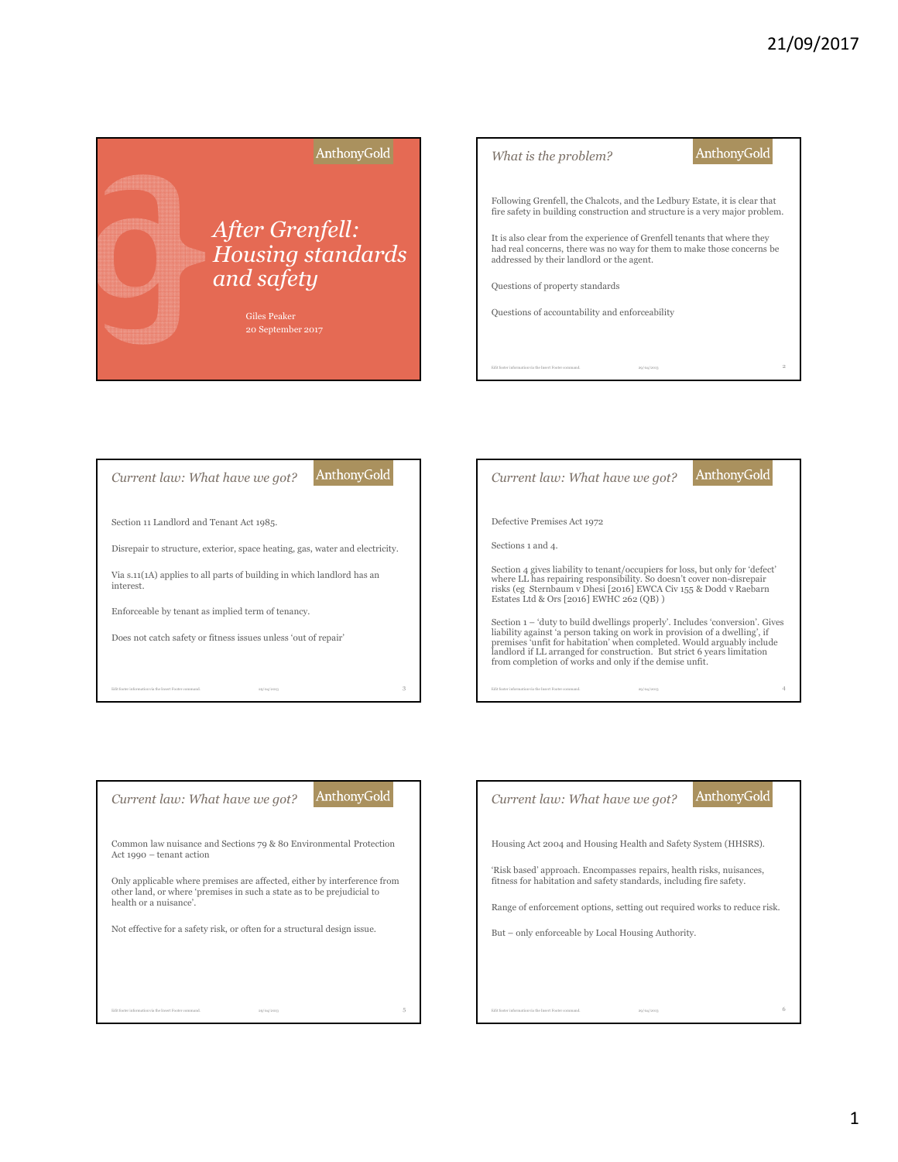







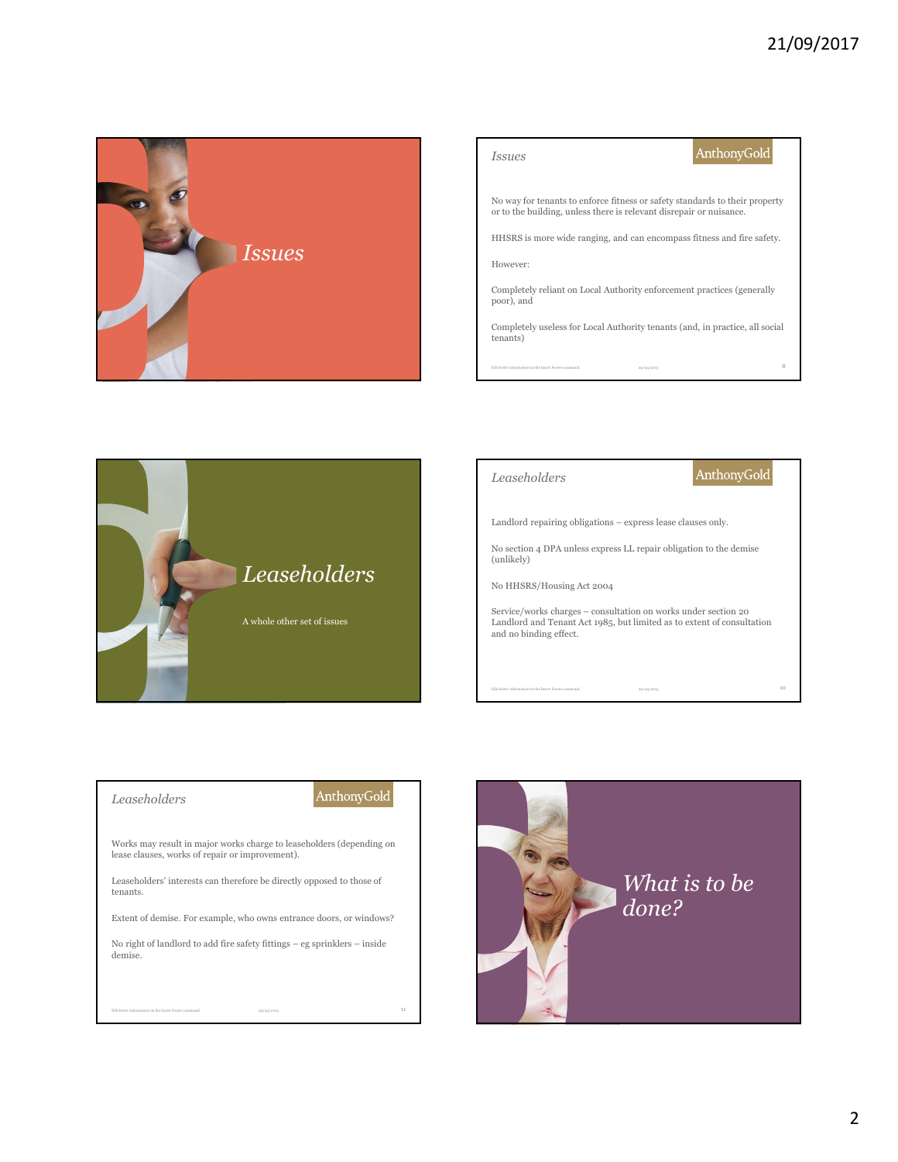

| <i>Issues</i>                                                                                                                                      | AnthonyGold |
|----------------------------------------------------------------------------------------------------------------------------------------------------|-------------|
| No way for tenants to enforce fitness or safety standards to their property<br>or to the building, unless there is relevant disrepair or nuisance. |             |
| HHSRS is more wide ranging, and can encompass fitness and fire safety.                                                                             |             |
| However:                                                                                                                                           |             |
| Completely reliant on Local Authority enforcement practices (generally<br>poor), and                                                               |             |
| Completely useless for Local Authority tenants (and, in practice, all social<br>tenants)                                                           |             |
| Edit footer information via the Insert Footer command.<br>20/04/2013                                                                               |             |





## *Leaseholders*

# AnthonyGold

Works may result in major works charge to leaseholders (depending on lease clauses, works of repair or improvement).

Leaseholders' interests can therefore be directly opposed to those of tenants.

Extent of demise. For example, who owns entrance doors, or windows?

No right of landlord to add fire safety fittings – eg sprinklers – inside demise.

Edit footer information via the Insert Footer command. 29/04/2013 2004/2013

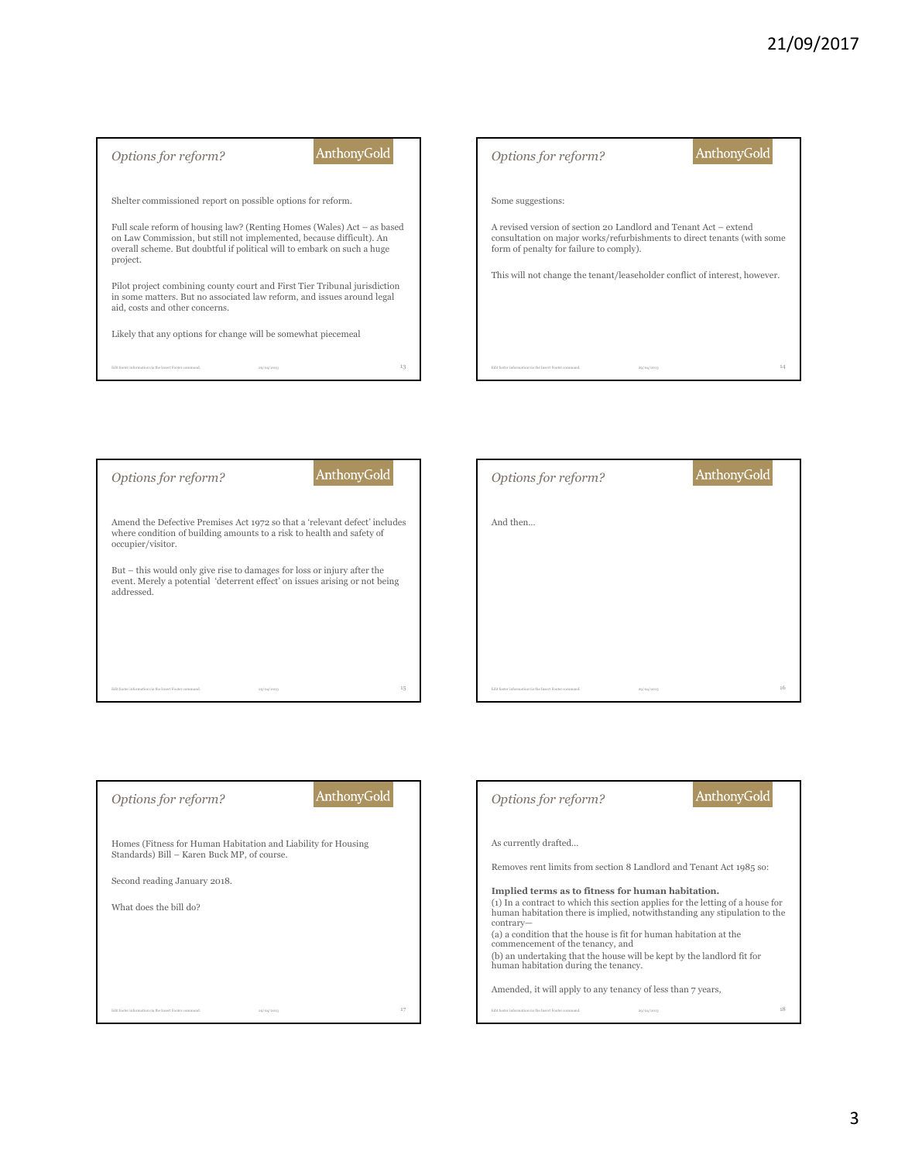





| AnthonyGold<br>Options for reform?                                                                           | <b>AnthonyGold</b><br>Options for reform?                                                                                                                                |
|--------------------------------------------------------------------------------------------------------------|--------------------------------------------------------------------------------------------------------------------------------------------------------------------------|
| Homes (Fitness for Human Habitation and Liability for Housing<br>Standards) Bill - Karen Buck MP, of course. | As currently drafted                                                                                                                                                     |
| Second reading January 2018.                                                                                 | Removes rent limits from section 8 Landlord and Tenant Act 1985 so:<br>Implied terms as to fitness for human habitation.                                                 |
| What does the bill do?                                                                                       | (1) In a contract to which this section applies for the letting of a house for<br>human habitation there is implied, notwithstanding any stipulation to the<br>contrary- |
|                                                                                                              | (a) a condition that the house is fit for human habitation at the<br>commencement of the tenancy, and                                                                    |
|                                                                                                              | (b) an undertaking that the house will be kept by the landlord fit for<br>human habitation during the tenancy.                                                           |
|                                                                                                              | Amended, it will apply to any tenancy of less than 7 years,                                                                                                              |
| 17<br>Edit footer information via the Insert Footer command<br>20/04/2013                                    | Edit footer information via the Insert Footer command.<br>29/04/2013                                                                                                     |
|                                                                                                              |                                                                                                                                                                          |

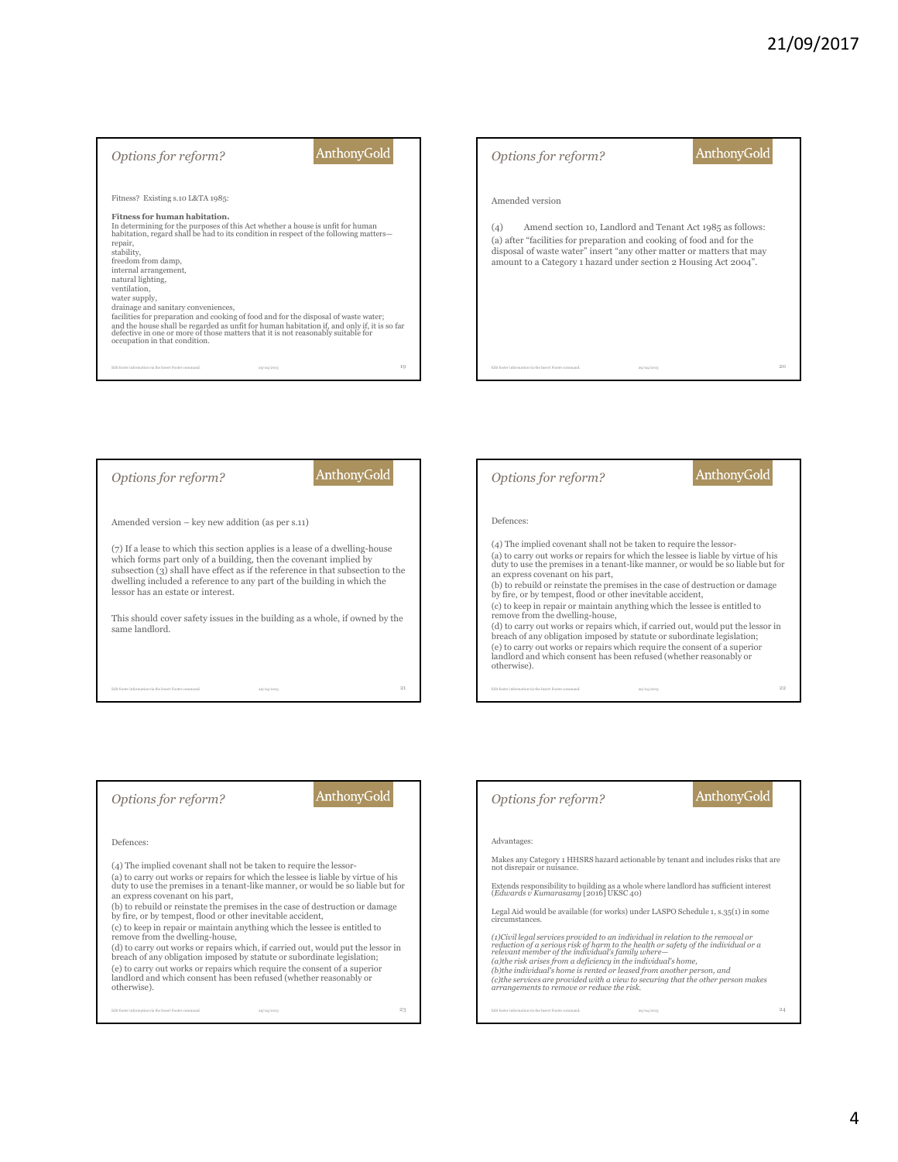| Options for reform?                                                                                                                                                                                                                                                                                                                                                                                                                                                                                                                                                                                                                                                                                                           | <b>AnthonyGold</b> | Options for reform?                                                                                                                                                 | <b>AnthonyGold</b>                                                                                                                  |
|-------------------------------------------------------------------------------------------------------------------------------------------------------------------------------------------------------------------------------------------------------------------------------------------------------------------------------------------------------------------------------------------------------------------------------------------------------------------------------------------------------------------------------------------------------------------------------------------------------------------------------------------------------------------------------------------------------------------------------|--------------------|---------------------------------------------------------------------------------------------------------------------------------------------------------------------|-------------------------------------------------------------------------------------------------------------------------------------|
| Fitness? Existing s.10 L&TA 1985:<br>Fitness for human habitation.<br>In determining for the purposes of this Act whether a house is unfit for human<br>habitation, regard shall be had to its condition in respect of the following matters-<br>repair,<br>stability,<br>freedom from damp,<br>internal arrangement,<br>natural lighting,<br>ventilation.<br>water supply,<br>drainage and sanitary conveniences,<br>facilities for preparation and cooking of food and for the disposal of waste water;<br>and the house shall be regarded as unfit for human habitation if, and only if, it is so far<br>defective in one or more of those matters that it is not reasonably suitable for<br>occupation in that condition. |                    | Amended version<br>(4)<br>(a) after "facilities for preparation and cooking of food and for the<br>amount to a Category 1 hazard under section 2 Housing Act 2004". | Amend section 10, Landlord and Tenant Act 1985 as follows:<br>disposal of waste water" insert "any other matter or matters that may |
| Edit footer information via the Insert Footer command<br>20/04/2013                                                                                                                                                                                                                                                                                                                                                                                                                                                                                                                                                                                                                                                           | 19                 | Edit footer information via the Insert Footer command                                                                                                               | 20<br>29/04/2013                                                                                                                    |



### *Options for reform?*

### AnthonyGold

#### Defences:

(4) The implied covenant shall not be taken to require the lessor-

(a) to carry out works or repairs for which the lessee is liable by virtue of his duty to use the premises in a tenant-like manner, or would be so liable but for an express covenant on his part,

(b) to rebuild or reinstate the premises in the case of destruction or damage by fire, or by tempest, flood or other inevitable accident,

(c) to keep in repair or maintain anything which the lessee is entitled to remove from the dwelling-house,

(d) to carry out works or repairs which, if carried out, would put the lessor in breach of any obligation imposed by statute or subordinate legislation; (e) to carry out works or repairs which require the consent of a superior landlord and which consent has been refused (whether reasonably or otherwise).

Edit footer information via the Insert Footer command. 23 23/04/2013